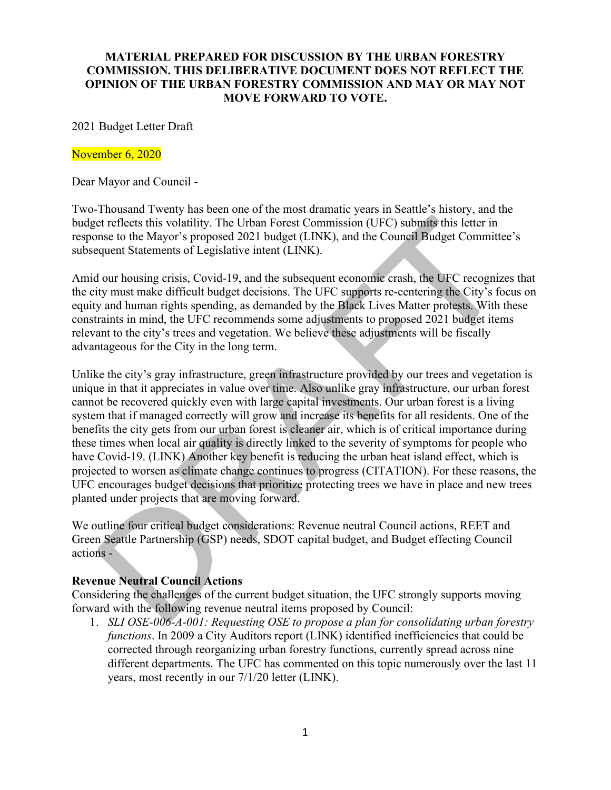### **MATERIAL PREPARED FOR DISCUSSION BY THE URBAN FORESTRY COMMISSION. THIS DELIBERATIVE DOCUMENT DOES NOT REFLECT THE OPINION OF THE URBAN FORESTRY COMMISSION AND MAY OR MAY NOT MOVE FORWARD TO VOTE.**

### 2021 Budget Letter Draft

#### November 6, 2020

Dear Mayor and Council -

Two-Thousand Twenty has been one of the most dramatic years in Seattle's history, and the budget reflects this volatility. The Urban Forest Commission (UFC) submits this letter in response to the Mayor's proposed 2021 budget (LINK), and the Council Budget Committee's subsequent Statements of Legislative intent (LINK).

Amid our housing crisis, Covid-19, and the subsequent economic crash, the UFC recognizes that the city must make difficult budget decisions. The UFC supports re-centering the City's focus on equity and human rights spending, as demanded by the Black Lives Matter protests. With these constraints in mind, the UFC recommends some adjustments to proposed 2021 budget items relevant to the city's trees and vegetation. We believe these adjustments will be fiscally advantageous for the City in the long term.

Unlike the city's gray infrastructure, green infrastructure provided by our trees and vegetation is unique in that it appreciates in value over time. Also unlike gray infrastructure, our urban forest cannot be recovered quickly even with large capital investments. Our urban forest is a living system that if managed correctly will grow and increase its benefits for all residents. One of the benefits the city gets from our urban forest is cleaner air, which is of critical importance during these times when local air quality is directly linked to the severity of symptoms for people who have Covid-19. (LINK) Another key benefit is reducing the urban heat island effect, which is projected to worsen as climate change continues to progress (CITATION). For these reasons, the UFC encourages budget decisions that prioritize protecting trees we have in place and new trees planted under projects that are moving forward.

We outline four critical budget considerations: Revenue neutral Council actions, REET and Green Seattle Partnership (GSP) needs, SDOT capital budget, and Budget effecting Council actions -

#### **Revenue Neutral Council Actions**

Considering the challenges of the current budget situation, the UFC strongly supports moving forward with the following revenue neutral items proposed by Council:

1. *[SLI OSE-006-A-001:](http://seattle.legistar.com/View.ashx?M=F&ID=8879218&GUID=F16B70C8-E022-485B-B575-54800DB0C24B) Requesting OSE to propose a plan for consolidating urban forestry functions*. In 2009 a City Auditors report (LINK) identified inefficiencies that could be corrected through reorganizing urban forestry functions, currently spread across nine different departments. The UFC has commented on this topic numerously over the last 11 years, most recently in our 7/1/20 letter (LINK).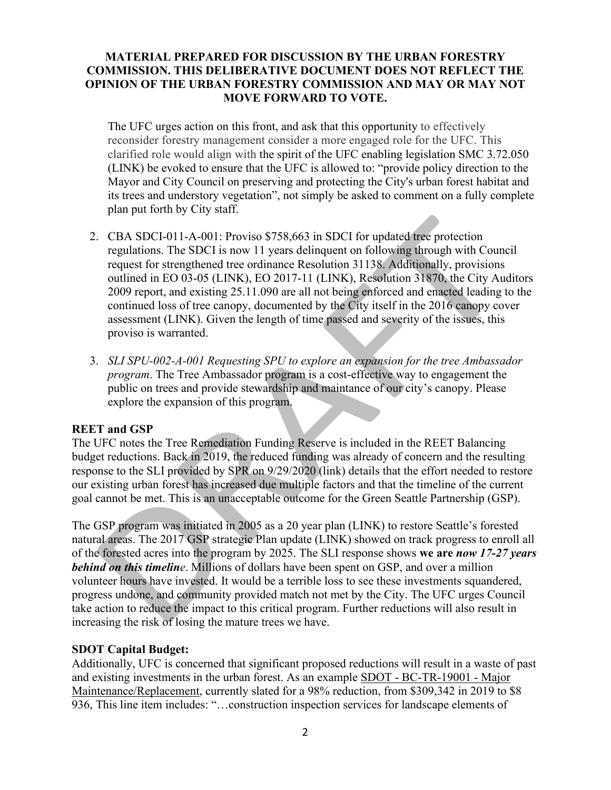# **MATERIAL PREPARED FOR DISCUSSION BY THE URBAN FORESTRY COMMISSION. THIS DELIBERATIVE DOCUMENT DOES NOT REFLECT THE OPINION OF THE URBAN FORESTRY COMMISSION AND MAY OR MAY NOT MOVE FORWARD TO VOTE.**

The UFC urges action on this front, and ask that this opportunity to effectively reconsider forestry management consider a more engaged role for the UFC. This clarified role would align with the spirit of the UFC enabling legislation SMC 3.72.050 (LINK) be evoked to ensure that the UFC is allowed to: "provide policy direction to the Mayor and City Council on preserving and protecting the City's urban forest habitat and its trees and understory vegetation", not simply be asked to comment on a fully complete plan put forth by City staff.

- 2. [CBA SDCI-011-A-001:](http://seattle.legistar.com/View.ashx?M=F&ID=8879248&GUID=F090C7F7-37FB-44FF-A566-6307B19E34F3) Proviso \$758,663 in SDCI for updated tree protection regulations. The SDCI is now 11 years delinquent on following through with Council request for strengthened tree ordinance [Resolution 31138.](http://clerk.seattle.gov/search/results?s1=&s3=31138&s2=&s4=&Sect4=AND&l=20&Sect2=THESON&Sect3=PLURON&Sect5=RESNY&Sect6=HITOFF&d=RESF&p=1&u=%2F%7Epublic%2Fresny.htm&r=1&f=G) Additionally, provisions outlined in EO 03-05 (LINK), EO 2017-11 (LINK), Resolution 31870, the City Auditors 2009 report, and existing 25.11.090 are all not being enforced and enacted leading to the continued loss of tree canopy, documented by the City itself in the 2016 canopy cover assessment (LINK). Given the length of time passed and severity of the issues, this proviso is warranted.
- 3. *[SLI SPU-002-A-001](http://seattle.legistar.com/View.ashx?M=F&ID=8877205&GUID=8F255D8C-8E16-4D59-AD7B-CEFBC44401AC) Requesting SPU to explore an expansion for the tree Ambassador program*. The Tree Ambassador program is a cost-effective way to engagement the public on trees and provide stewardship and maintance of our city's canopy. Please explore the expansion of this program.

#### **REET and GSP**

The UFC notes the Tree Remediation Funding Reserve is included in the REET Balancing budget reductions. Back in 2019, the reduced funding was already of concern and the resulting response to the SLI provided by SPR on 9/29/2020 (link) details that the effort needed to restore our existing urban forest has increased due multiple factors and that the timeline of the current goal cannot be met. This is an unacceptable outcome for the Green Seattle Partnership (GSP).

The GSP program was initiated in 2005 as a 20 year plan (LINK) to restore Seattle's forested natural areas. The 2017 GSP strategic Plan update (LINK) showed on track progress to enroll all of the forested acres into the program by 2025. The SLI response shows **we are** *now 17-27 years behind on this timeline*. Millions of dollars have been spent on GSP, and over a million volunteer hours have invested. It would be a terrible loss to see these investments squandered, progress undone, and community provided match not met by the City. The UFC urges Council take action to reduce the impact to this critical program. Further reductions will also result in increasing the risk of losing the mature trees we have.

#### **SDOT Capital Budget:**

Additionally, UFC is concerned that significant proposed reductions will result in a waste of past and existing investments in the urban forest. As an example SDOT - BC-TR-19001 - Major Maintenance/Replacement, currently slated for a 98% reduction, from \$309,342 in 2019 to \$8 936, This line item includes: "…construction inspection services for landscape elements of